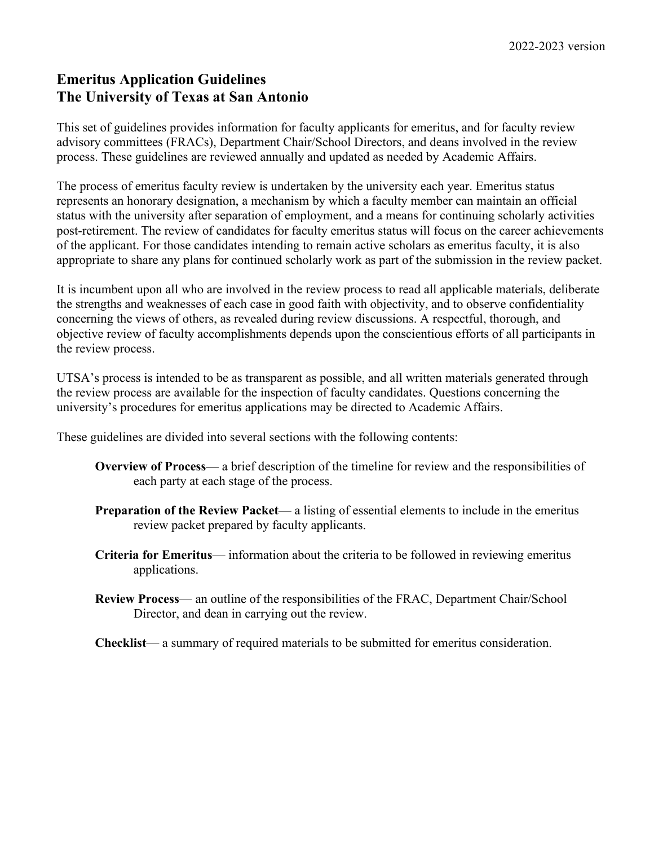# **Emeritus Application Guidelines The University of Texas at San Antonio**

This set of guidelines provides information for faculty applicants for emeritus, and for faculty review advisory committees (FRACs), Department Chair/School Directors, and deans involved in the review process. These guidelines are reviewed annually and updated as needed by Academic Affairs.

The process of emeritus faculty review is undertaken by the university each year. Emeritus status represents an honorary designation, a mechanism by which a faculty member can maintain an official status with the university after separation of employment, and a means for continuing scholarly activities post-retirement. The review of candidates for faculty emeritus status will focus on the career achievements of the applicant. For those candidates intending to remain active scholars as emeritus faculty, it is also appropriate to share any plans for continued scholarly work as part of the submission in the review packet.

It is incumbent upon all who are involved in the review process to read all applicable materials, deliberate the strengths and weaknesses of each case in good faith with objectivity, and to observe confidentiality concerning the views of others, as revealed during review discussions. A respectful, thorough, and objective review of faculty accomplishments depends upon the conscientious efforts of all participants in the review process.

UTSA's process is intended to be as transparent as possible, and all written materials generated through the review process are available for the inspection of faculty candidates. Questions concerning the university's procedures for emeritus applications may be directed to Academic Affairs.

These guidelines are divided into several sections with the following contents:

- **Overview of Process** a brief description of the timeline for review and the responsibilities of each party at each stage of the process.
- **Preparation of the Review Packet** a listing of essential elements to include in the emeritus review packet prepared by faculty applicants.
- **Criteria for Emeritus** information about the criteria to be followed in reviewing emeritus applications.
- **Review Process** an outline of the responsibilities of the FRAC, Department Chair/School Director, and dean in carrying out the review.

**Checklist**— a summary of required materials to be submitted for emeritus consideration.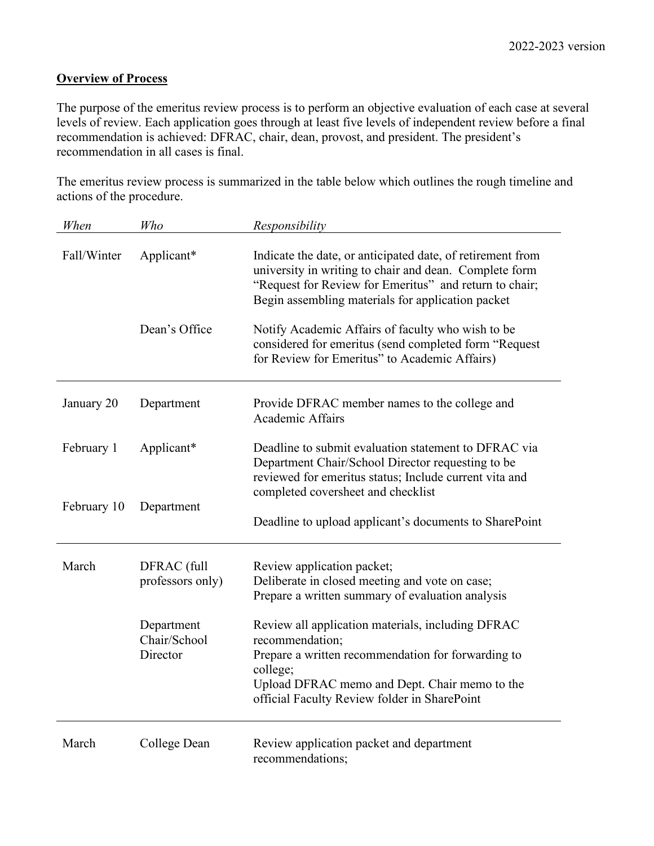# **Overview of Process**

The purpose of the emeritus review process is to perform an objective evaluation of each case at several levels of review. Each application goes through at least five levels of independent review before a final recommendation is achieved: DFRAC, chair, dean, provost, and president. The president's recommendation in all cases is final.

The emeritus review process is summarized in the table below which outlines the rough timeline and actions of the procedure.

| When        | Who                                                                       | Responsibility                                                                                                                                                                                                                                                                           |  |  |
|-------------|---------------------------------------------------------------------------|------------------------------------------------------------------------------------------------------------------------------------------------------------------------------------------------------------------------------------------------------------------------------------------|--|--|
| Fall/Winter | Applicant*<br>Dean's Office                                               | Indicate the date, or anticipated date, of retirement from<br>university in writing to chair and dean. Complete form<br>"Request for Review for Emeritus" and return to chair;<br>Begin assembling materials for application packet<br>Notify Academic Affairs of faculty who wish to be |  |  |
|             |                                                                           | considered for emeritus (send completed form "Request<br>for Review for Emeritus" to Academic Affairs)                                                                                                                                                                                   |  |  |
| January 20  | Department                                                                | Provide DFRAC member names to the college and<br>Academic Affairs                                                                                                                                                                                                                        |  |  |
| February 1  | Applicant*                                                                | Deadline to submit evaluation statement to DFRAC via<br>Department Chair/School Director requesting to be<br>reviewed for emeritus status; Include current vita and<br>completed coversheet and checklist                                                                                |  |  |
| February 10 | Department                                                                | Deadline to upload applicant's documents to SharePoint                                                                                                                                                                                                                                   |  |  |
| March       | DFRAC (full<br>professors only)<br>Department<br>Chair/School<br>Director | Review application packet;<br>Deliberate in closed meeting and vote on case;<br>Prepare a written summary of evaluation analysis<br>Review all application materials, including DFRAC<br>recommendation;<br>Prepare a written recommendation for forwarding to                           |  |  |
|             |                                                                           | college;<br>Upload DFRAC memo and Dept. Chair memo to the<br>official Faculty Review folder in SharePoint                                                                                                                                                                                |  |  |
| March       | College Dean                                                              | Review application packet and department<br>recommendations;                                                                                                                                                                                                                             |  |  |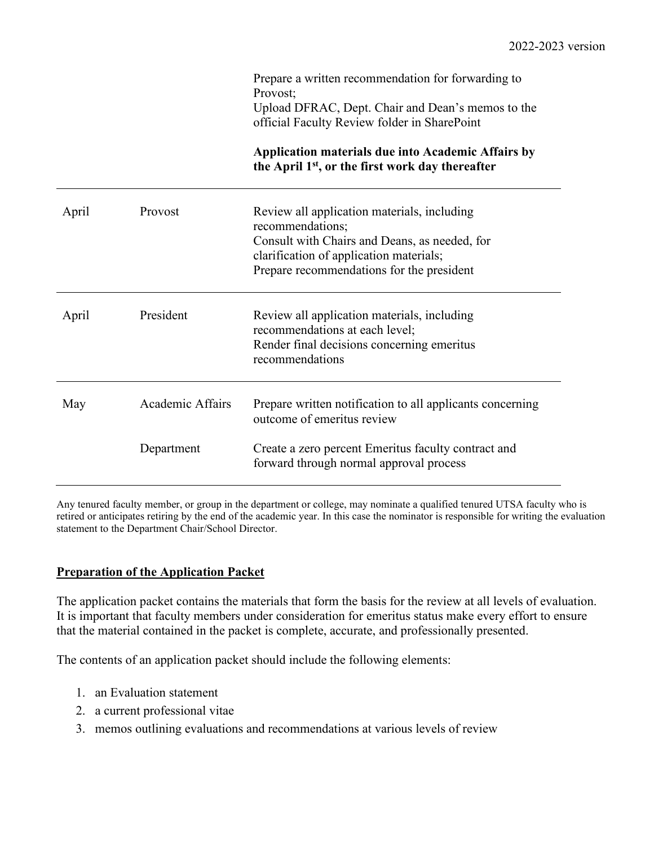|       |                  | Prepare a written recommendation for forwarding to<br>Provost:<br>Upload DFRAC, Dept. Chair and Dean's memos to the<br>official Faculty Review folder in SharePoint<br><b>Application materials due into Academic Affairs by</b> |
|-------|------------------|----------------------------------------------------------------------------------------------------------------------------------------------------------------------------------------------------------------------------------|
|       |                  | the April 1 <sup>st</sup> , or the first work day thereafter                                                                                                                                                                     |
| April | Provost          | Review all application materials, including<br>recommendations;<br>Consult with Chairs and Deans, as needed, for<br>clarification of application materials;<br>Prepare recommendations for the president                         |
| April | President        | Review all application materials, including<br>recommendations at each level;<br>Render final decisions concerning emeritus<br>recommendations                                                                                   |
| May   | Academic Affairs | Prepare written notification to all applicants concerning<br>outcome of emeritus review                                                                                                                                          |
|       | Department       | Create a zero percent Emeritus faculty contract and<br>forward through normal approval process                                                                                                                                   |

Any tenured faculty member, or group in the department or college, may nominate a qualified tenured UTSA faculty who is retired or anticipates retiring by the end of the academic year. In this case the nominator is responsible for writing the evaluation statement to the Department Chair/School Director.

## **Preparation of the Application Packet**

The application packet contains the materials that form the basis for the review at all levels of evaluation. It is important that faculty members under consideration for emeritus status make every effort to ensure that the material contained in the packet is complete, accurate, and professionally presented.

The contents of an application packet should include the following elements:

- 1. an Evaluation statement
- 2. a current professional vitae
- 3. memos outlining evaluations and recommendations at various levels of review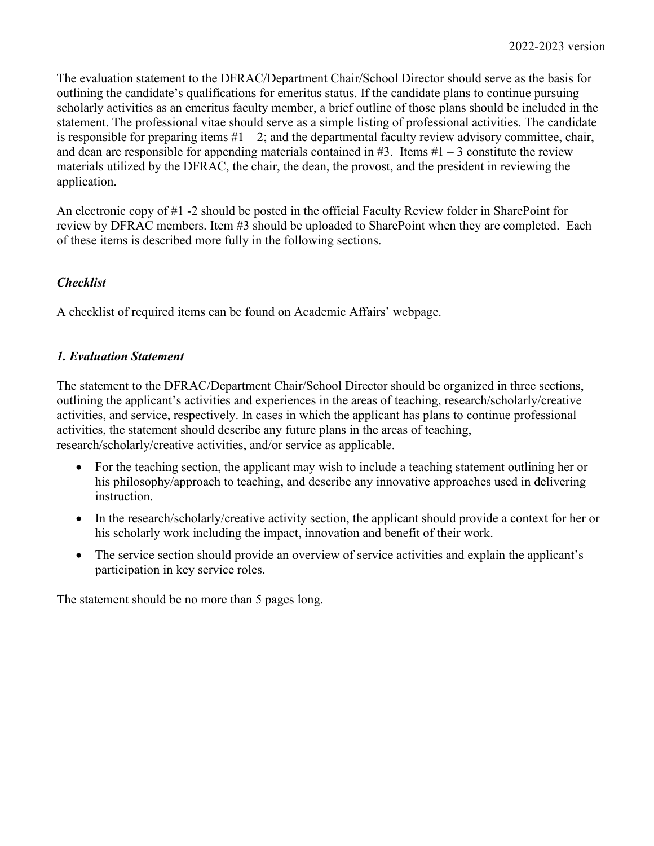The evaluation statement to the DFRAC/Department Chair/School Director should serve as the basis for outlining the candidate's qualifications for emeritus status. If the candidate plans to continue pursuing scholarly activities as an emeritus faculty member, a brief outline of those plans should be included in the statement. The professional vitae should serve as a simple listing of professional activities. The candidate is responsible for preparing items  $#1 - 2$ ; and the departmental faculty review advisory committee, chair, and dean are responsible for appending materials contained in  $#3$ . Items  $#1 - 3$  constitute the review materials utilized by the DFRAC, the chair, the dean, the provost, and the president in reviewing the application.

An electronic copy of #1 -2 should be posted in the official Faculty Review folder in SharePoint for review by DFRAC members. Item #3 should be uploaded to SharePoint when they are completed. Each of these items is described more fully in the following sections.

## *Checklist*

A checklist of required items can be found on Academic Affairs' webpage.

#### *1. Evaluation Statement*

The statement to the DFRAC/Department Chair/School Director should be organized in three sections, outlining the applicant's activities and experiences in the areas of teaching, research/scholarly/creative activities, and service, respectively. In cases in which the applicant has plans to continue professional activities, the statement should describe any future plans in the areas of teaching, research/scholarly/creative activities, and/or service as applicable.

- For the teaching section, the applicant may wish to include a teaching statement outlining her or his philosophy/approach to teaching, and describe any innovative approaches used in delivering instruction.
- In the research/scholarly/creative activity section, the applicant should provide a context for her or his scholarly work including the impact, innovation and benefit of their work.
- The service section should provide an overview of service activities and explain the applicant's participation in key service roles.

The statement should be no more than 5 pages long.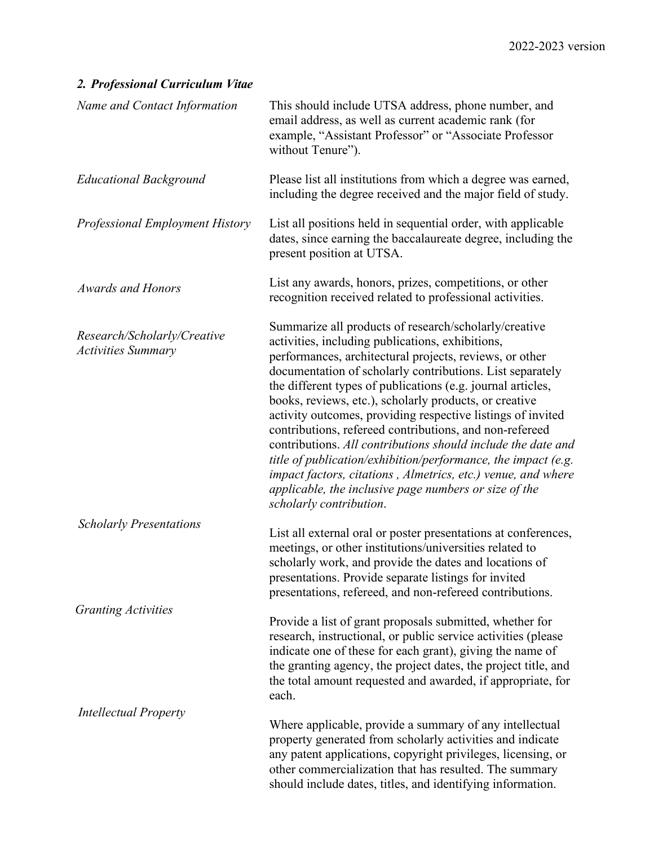# *2. Professional Curriculum Vitae*

| Name and Contact Information                             | This should include UTSA address, phone number, and<br>email address, as well as current academic rank (for<br>example, "Assistant Professor" or "Associate Professor<br>without Tenure").                                                                                                                                                                                                                                                                                                                                                                                                                                                                                                                                                                                |
|----------------------------------------------------------|---------------------------------------------------------------------------------------------------------------------------------------------------------------------------------------------------------------------------------------------------------------------------------------------------------------------------------------------------------------------------------------------------------------------------------------------------------------------------------------------------------------------------------------------------------------------------------------------------------------------------------------------------------------------------------------------------------------------------------------------------------------------------|
| <b>Educational Background</b>                            | Please list all institutions from which a degree was earned,<br>including the degree received and the major field of study.                                                                                                                                                                                                                                                                                                                                                                                                                                                                                                                                                                                                                                               |
| <b>Professional Employment History</b>                   | List all positions held in sequential order, with applicable<br>dates, since earning the baccalaureate degree, including the<br>present position at UTSA.                                                                                                                                                                                                                                                                                                                                                                                                                                                                                                                                                                                                                 |
| <b>Awards and Honors</b>                                 | List any awards, honors, prizes, competitions, or other<br>recognition received related to professional activities.                                                                                                                                                                                                                                                                                                                                                                                                                                                                                                                                                                                                                                                       |
| Research/Scholarly/Creative<br><b>Activities Summary</b> | Summarize all products of research/scholarly/creative<br>activities, including publications, exhibitions,<br>performances, architectural projects, reviews, or other<br>documentation of scholarly contributions. List separately<br>the different types of publications (e.g. journal articles,<br>books, reviews, etc.), scholarly products, or creative<br>activity outcomes, providing respective listings of invited<br>contributions, refereed contributions, and non-refereed<br>contributions. All contributions should include the date and<br>title of publication/exhibition/performance, the impact (e.g.<br>impact factors, citations, Almetrics, etc.) venue, and where<br>applicable, the inclusive page numbers or size of the<br>scholarly contribution. |
| <b>Scholarly Presentations</b>                           | List all external oral or poster presentations at conferences,<br>meetings, or other institutions/universities related to<br>scholarly work, and provide the dates and locations of<br>presentations. Provide separate listings for invited<br>presentations, refereed, and non-refereed contributions.                                                                                                                                                                                                                                                                                                                                                                                                                                                                   |
| <b>Granting Activities</b>                               | Provide a list of grant proposals submitted, whether for<br>research, instructional, or public service activities (please<br>indicate one of these for each grant), giving the name of<br>the granting agency, the project dates, the project title, and<br>the total amount requested and awarded, if appropriate, for<br>each.                                                                                                                                                                                                                                                                                                                                                                                                                                          |
| <b>Intellectual Property</b>                             | Where applicable, provide a summary of any intellectual<br>property generated from scholarly activities and indicate<br>any patent applications, copyright privileges, licensing, or<br>other commercialization that has resulted. The summary<br>should include dates, titles, and identifying information.                                                                                                                                                                                                                                                                                                                                                                                                                                                              |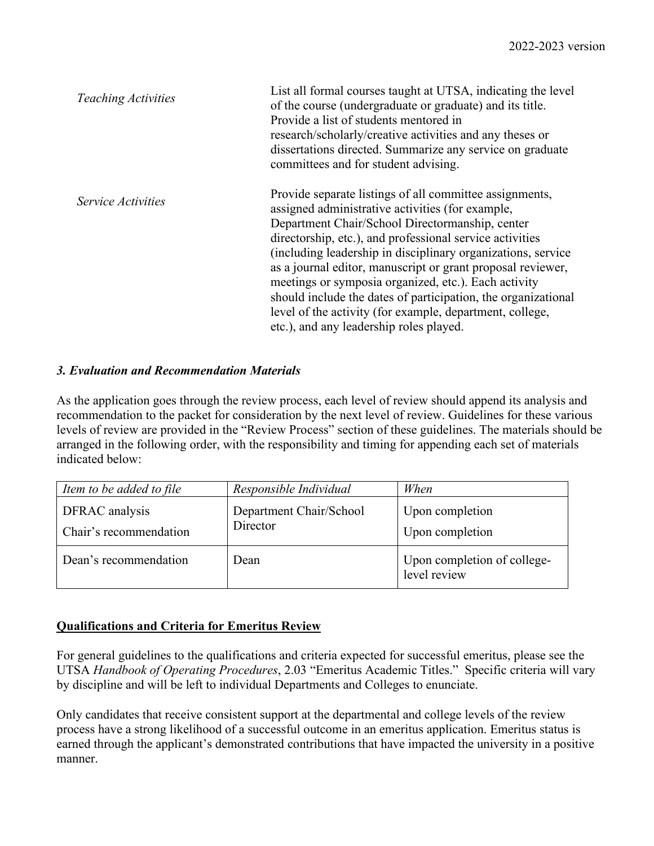| <b>Teaching Activities</b> | List all formal courses taught at UTSA, indicating the level<br>of the course (undergraduate or graduate) and its title.<br>Provide a list of students mentored in<br>research/scholarly/creative activities and any theses or<br>dissertations directed. Summarize any service on graduate<br>committees and for student advising.                                                                                                                                                                                                                                                       |
|----------------------------|-------------------------------------------------------------------------------------------------------------------------------------------------------------------------------------------------------------------------------------------------------------------------------------------------------------------------------------------------------------------------------------------------------------------------------------------------------------------------------------------------------------------------------------------------------------------------------------------|
| <i>Service Activities</i>  | Provide separate listings of all committee assignments,<br>assigned administrative activities (for example,<br>Department Chair/School Directormanship, center<br>directorship, etc.), and professional service activities<br>(including leadership in disciplinary organizations, service<br>as a journal editor, manuscript or grant proposal reviewer,<br>meetings or symposia organized, etc.). Each activity<br>should include the dates of participation, the organizational<br>level of the activity (for example, department, college,<br>etc.), and any leadership roles played. |

## *3. Evaluation and Recommendation Materials*

As the application goes through the review process, each level of review should append its analysis and recommendation to the packet for consideration by the next level of review. Guidelines for these various levels of review are provided in the "Review Process" section of these guidelines. The materials should be arranged in the following order, with the responsibility and timing for appending each set of materials indicated below:

| Item to be added to file                 | Responsible Individual              | When                                        |
|------------------------------------------|-------------------------------------|---------------------------------------------|
| DFRAC analysis<br>Chair's recommendation | Department Chair/School<br>Director | Upon completion<br>Upon completion          |
| Dean's recommendation                    | Dean                                | Upon completion of college-<br>level review |

## **Qualifications and Criteria for Emeritus Review**

For general guidelines to the qualifications and criteria expected for successful emeritus, please see the UTSA *Handbook of Operating Procedures*, 2.03 "Emeritus Academic Titles." Specific criteria will vary by discipline and will be left to individual Departments and Colleges to enunciate.

Only candidates that receive consistent support at the departmental and college levels of the review process have a strong likelihood of a successful outcome in an emeritus application. Emeritus status is earned through the applicant's demonstrated contributions that have impacted the university in a positive manner.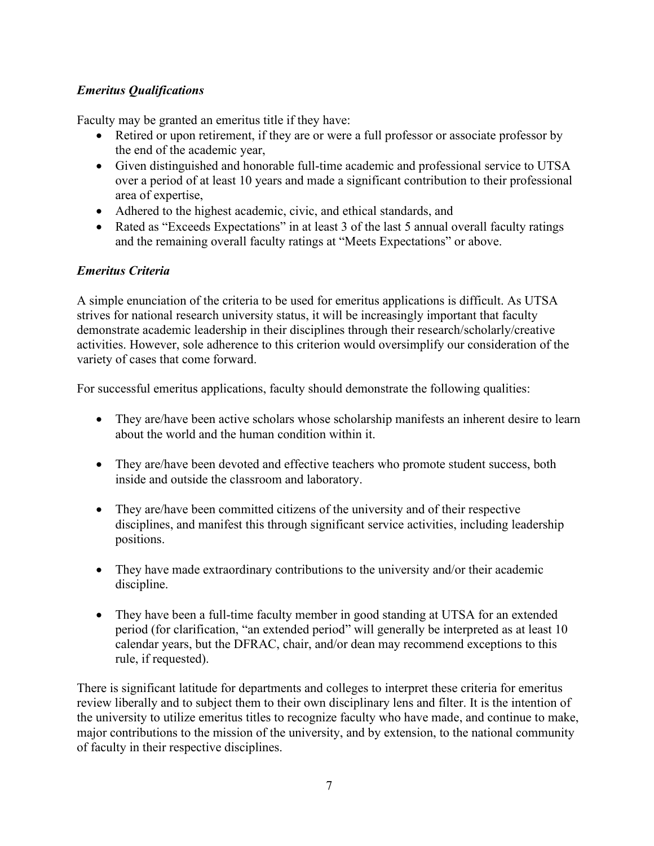# *Emeritus Qualifications*

Faculty may be granted an emeritus title if they have:

- Retired or upon retirement, if they are or were a full professor or associate professor by the end of the academic year,
- Given distinguished and honorable full-time academic and professional service to UTSA over a period of at least 10 years and made a significant contribution to their professional area of expertise,
- Adhered to the highest academic, civic, and ethical standards, and
- Rated as "Exceeds Expectations" in at least 3 of the last 5 annual overall faculty ratings and the remaining overall faculty ratings at "Meets Expectations" or above.

## *Emeritus Criteria*

A simple enunciation of the criteria to be used for emeritus applications is difficult. As UTSA strives for national research university status, it will be increasingly important that faculty demonstrate academic leadership in their disciplines through their research/scholarly/creative activities. However, sole adherence to this criterion would oversimplify our consideration of the variety of cases that come forward.

For successful emeritus applications, faculty should demonstrate the following qualities:

- They are/have been active scholars whose scholarship manifests an inherent desire to learn about the world and the human condition within it.
- They are/have been devoted and effective teachers who promote student success, both inside and outside the classroom and laboratory.
- They are/have been committed citizens of the university and of their respective disciplines, and manifest this through significant service activities, including leadership positions.
- They have made extraordinary contributions to the university and/or their academic discipline.
- They have been a full-time faculty member in good standing at UTSA for an extended period (for clarification, "an extended period" will generally be interpreted as at least 10 calendar years, but the DFRAC, chair, and/or dean may recommend exceptions to this rule, if requested).

There is significant latitude for departments and colleges to interpret these criteria for emeritus review liberally and to subject them to their own disciplinary lens and filter. It is the intention of the university to utilize emeritus titles to recognize faculty who have made, and continue to make, major contributions to the mission of the university, and by extension, to the national community of faculty in their respective disciplines.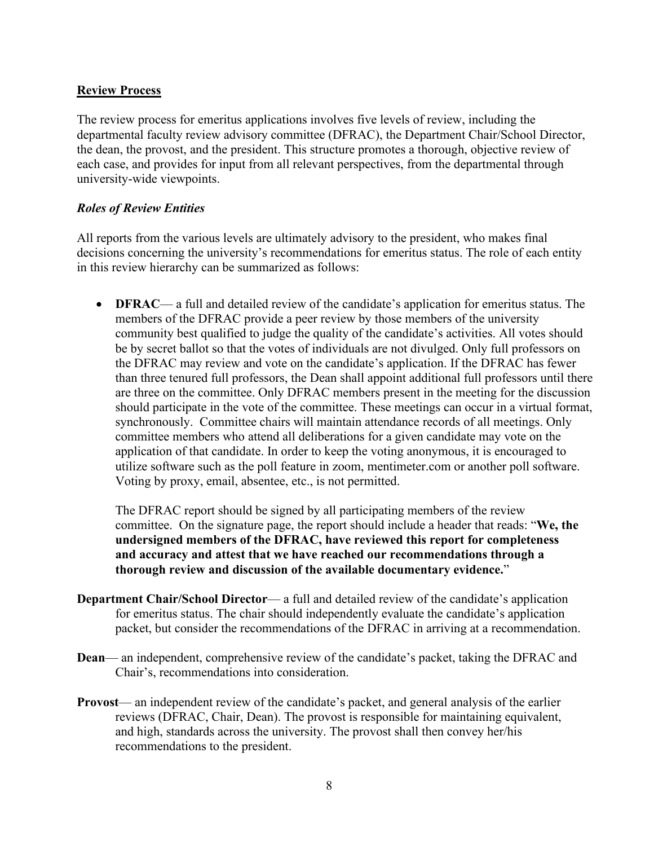#### **Review Process**

The review process for emeritus applications involves five levels of review, including the departmental faculty review advisory committee (DFRAC), the Department Chair/School Director, the dean, the provost, and the president. This structure promotes a thorough, objective review of each case, and provides for input from all relevant perspectives, from the departmental through university-wide viewpoints.

#### *Roles of Review Entities*

All reports from the various levels are ultimately advisory to the president, who makes final decisions concerning the university's recommendations for emeritus status. The role of each entity in this review hierarchy can be summarized as follows:

• **DFRAC**— a full and detailed review of the candidate's application for emeritus status. The members of the DFRAC provide a peer review by those members of the university community best qualified to judge the quality of the candidate's activities. All votes should be by secret ballot so that the votes of individuals are not divulged. Only full professors on the DFRAC may review and vote on the candidate's application. If the DFRAC has fewer than three tenured full professors, the Dean shall appoint additional full professors until there are three on the committee. Only DFRAC members present in the meeting for the discussion should participate in the vote of the committee. These meetings can occur in a virtual format, synchronously. Committee chairs will maintain attendance records of all meetings. Only committee members who attend all deliberations for a given candidate may vote on the application of that candidate. In order to keep the voting anonymous, it is encouraged to utilize software such as the poll feature in zoom, mentimeter.com or another poll software. Voting by proxy, email, absentee, etc., is not permitted.

The DFRAC report should be signed by all participating members of the review committee. On the signature page, the report should include a header that reads: "**We, the undersigned members of the DFRAC, have reviewed this report for completeness and accuracy and attest that we have reached our recommendations through a thorough review and discussion of the available documentary evidence.**"

- **Department Chair/School Director** a full and detailed review of the candidate's application for emeritus status. The chair should independently evaluate the candidate's application packet, but consider the recommendations of the DFRAC in arriving at a recommendation.
- **Dean** an independent, comprehensive review of the candidate's packet, taking the DFRAC and Chair's, recommendations into consideration.
- **Provost** an independent review of the candidate's packet, and general analysis of the earlier reviews (DFRAC, Chair, Dean). The provost is responsible for maintaining equivalent, and high, standards across the university. The provost shall then convey her/his recommendations to the president.